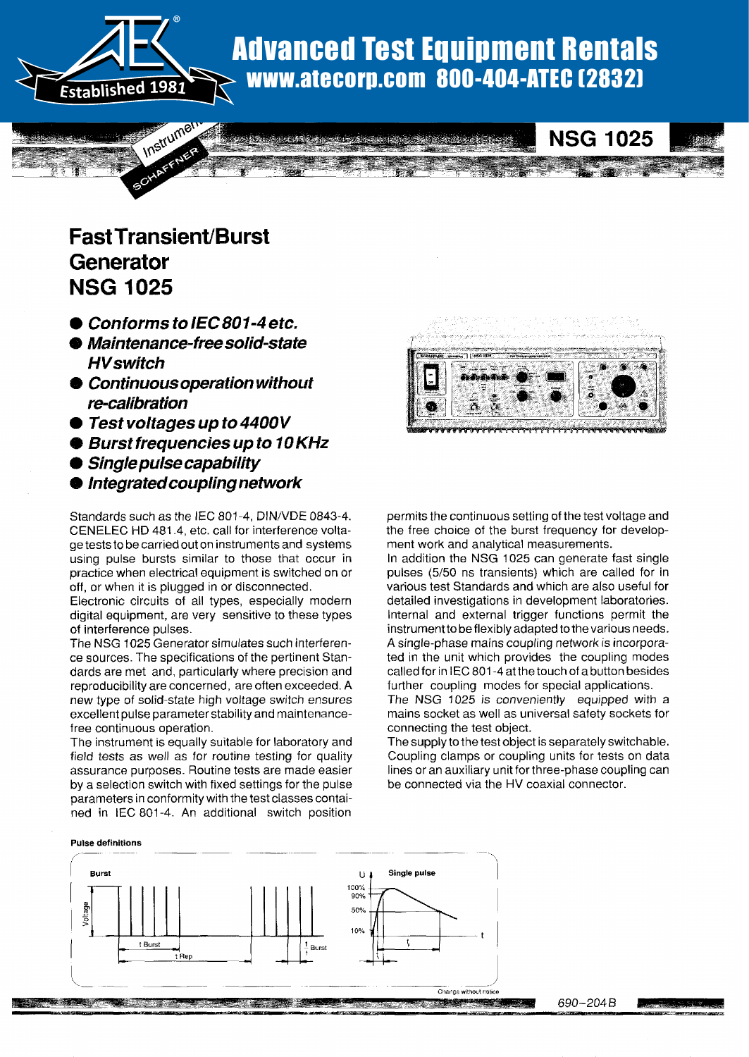

# Advanced Test Equipment Rentals www.atecorp.com 800-404-ATEC (2832)

# **Fast Transient/Burst** Generator **NSG 1025**  $\mathbf{C}$  . The  $\mathbf{C}$

- $\bullet$  Conforms to IEC 801-4 etc.
- Maintenance-free solid-state **HV** switch
- Continuous operation without re-calibration
- $\bullet$  Test voltages up to 4400V
- Burst frequencies up to 10 KHz
- 
- Single pulse capability<br>● Integrated coupling network

Standards such as the IEC 801-4, DIN/VDE 0843-4. CENELEC HD 481.4, etc. call for interference voltage tests to be carried out on instruments and systems using pulse bursts similar to those that occur in practice when electrical equipment is switched on or off, or when it is plugged in or disconnected.

Electronic circuits of all types, especially modern digital equipment, are very sensitive to these types of interference pulses.

The NSG 1025 Generator simulates such interference sources. The specifications of the pertinent Standards are met and, particularly where precision and reproducibility are concerned, are often exceeded. A new type of solid-state high voltage switch ensures excellent pulse parameter stability and maintenance-<br>free continuous operation.  $T$  is equal to the instrument is equal to the form  $\mathcal{L}$ 

field test associate to option y building for routine types. field tests as well as for routine testing for quality assurance purposes. Routine tests are made easier by a selection switch with fixed settings for the pulse parameters in conformity with the test classes contained in IEC 801-4 . An additional switch position



**NSG 1025** 

permits the continuous setting of the test voltage and the free choice of the burst frequency for development work and analytical measurements.

In addition the NSG 1025 can generate fast single pulses (5/50 ns transients) which are called for in various test Standards and which are also useful for detailed investigations in development laboratories. internal and external trigger functions permit the instrument to be flexibly adapted to the various needs. A single-phase mains coupling network is incorporated in the unit which provides the coupling modes called for in IEC 801-4 at the touch of a button besides further coupling modes for special applications.

The NSG 1025 is conveniently equipped with a mains socket as well as universal safety sockets for connecting the test object.

The supply to the test object is separately switchable . Coupling clamps or coupling units for tests on data lines or an auxiliary unit for three-phase coupling can be connected via the HV coaxial connector.

#### Pulse definitions



690-2048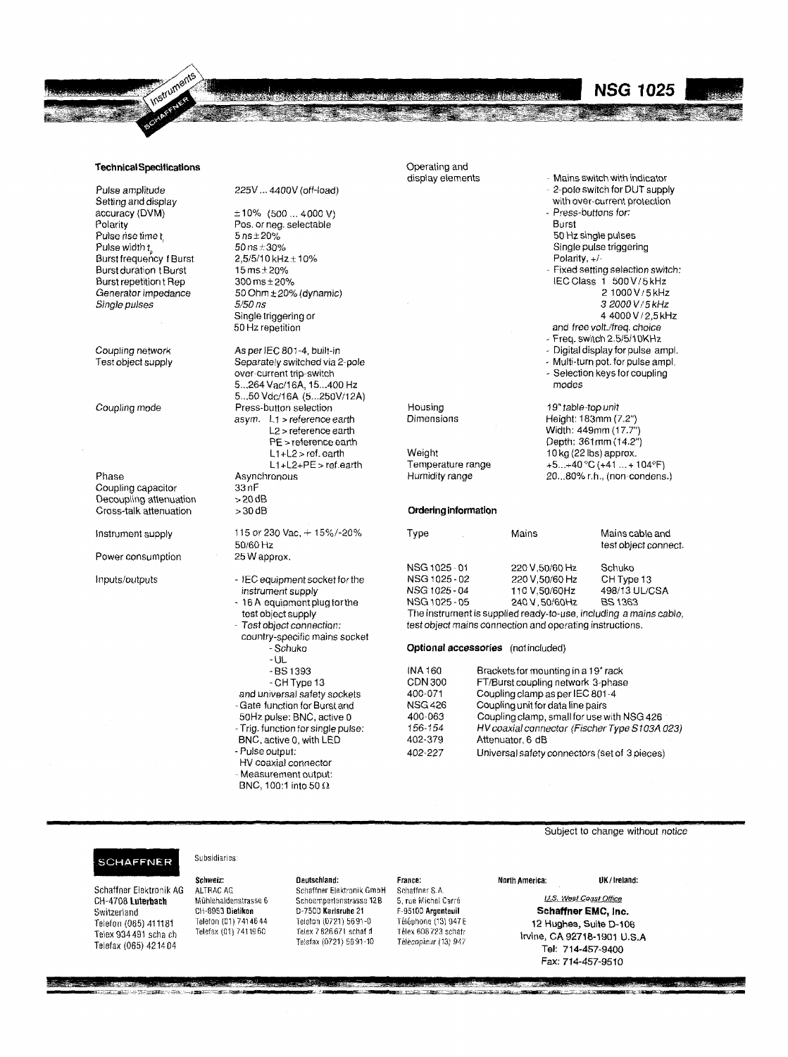

Pulse amplitude Setting and display accuracy (DVM) Polarity Pulse rise time t

Coupling network Test object supply

Phase Coupling capacitor Decoupling attenuation >20 dB<br>Cross-talk attenuation >30 dB

Power consumption 25 W approx.

225V ... 4400V (off-load)

**CALLAGE CAR** 

 $±10\%$  (500 ... 4000 V) Pos. or neg. selectable  $5$  ns  $\pm 20\%$ <br>50 ns  $\pm 30\%$  $B$ urst frequency f Burst  $2,5/5/10$  kHz  $\pm 10\%$  Polarity .  $\pm 7$  Polarity,  $\pm 7$ 50 Hz repetition

As per IEC 801-4, built-in Separately switched via 2-pole over-current trip-switch 5...264 Vac/16A, 15...400 Hz 5...50 Vdc/16A (5...250V/12A) Coupling mode **Press-button selection** asym. L1 > reference earth L2 > reference earth PE > reference earth L1 +L2 > ref. earth L1+L2+PE > ref . earth Asynchronous 33 nF<br>> 20 dB Cross-talk attenuation  $>30$  dB **Ordering information** 

Instrument supply  $115$  or  $230$  Vac,  $+ 15\%$ /- $20\%$ <br> $50/60$  Hz

- Inputs/outputs imputs/outputs in the NEC equipment socket for the instrument supply  $-16A$  equipment plug for the
	- test object supply Test object connection :

country-specific mains socket -Schuko

- -UL BS 1393
- CH Type 13 and universal safety sockets -Gate function for Burst and
- 50Hz pulse: BNC, active 0 - Trig. function for single pulse:
- BNC, active 0, with LED - Pulse output:
- HV coaxial connector
- Measurement output :
- BNC, 100.1 into 50  $\Omega$

Operating and

die strie gebeure in de eerste en die staan gebiedelijk

- Mains switch with indicator 2-pole switch for DUT supply with over-current protection Press-buttons for: Burst 50 Hz single pulses Pulse width  $t_{\rm s}$  states of 50 ns  $\pm 30\%$  Single pulse triggering states that  $\pm 30\%$ Burst duration tBurst 15 ms±20% Fixed setting selection switch:<br>Burst duration tBurst 15 ms±20% Fixed setting selection switch:<br>Burst repetition t Rep 300 ms±20% Burst repetition t Rep 300 ms ± 20% IEC Class 1 500 V/5 kHz<br>Generator impedance 50 Ohm ± 20% (dynamic) 3 and 300 V/5 kHz Generator impedance 50 Ohm ± 20% (dynamic) 2 1000 V / 5 kHz<br>
Single pulses 3 2000 V / 5 kHz Single pulses 5150 ns 3 2000 V / 5 kHz Single triggering or  $\overline{4\,4000\,V/2.5\,\text{kHz}}$ and free volt./freq. choice Freq. switch 2.5/5/10KHz - Digital display for pulse ampl. Multi-turn pot . for pulse ampl . Selection keys for coupling modes 19" table-top unit Height: 183mm (7.2") Width: 449mm (17.7") Depth: 361mm (14.2")

**NSG 1025** 

10 kg (22 Ibs) approx. +5. . .+40 °C (+41 . . . + 104°F) 20. ..80% r.h., (non-condens.)

Temperature range

Housing Dimensions

Weight

| 115 or 230 Vac. + 15%/-20%     | Tvpe                                                              | Mains          | Mains cable and      |
|--------------------------------|-------------------------------------------------------------------|----------------|----------------------|
| 50/60 Hz                       |                                                                   |                | test object connect. |
| 25 W approx.                   |                                                                   |                |                      |
|                                | NSG 1025-01                                                       | 220 V.50/60 Hz | Schuko               |
| - IEC equipment socket for the | NSG 1025-02                                                       | 220 V.50/60 Hz | CH Type 13           |
| instrument supply              | NSG 1025-04                                                       | 110 V.50/60Hz  | 498/13 UL/CSA        |
| - 16 A equipment plug for the  | NSG 1025-05                                                       | 240 V.50/60Hz  | <b>BS 1363</b>       |
| test object supply             | The instrument is supplied ready-to-use, including a mains cable, |                |                      |

The instrument is supplied ready-to-use, including a mains cable, test object mains connection and operating instructions .

#### Optional accessories (not included)

| INA 160        | Brackets for mounting in a 19" rack           |
|----------------|-----------------------------------------------|
| CDN 300        | FT/Burst coupling network 3-phase             |
| 400-071        | Coupling clamp as per IEC 801-4               |
| <b>NSG 426</b> | Coupling unit for data line pairs             |
| 400-063        | Coupling clamp, small for use with NSG 426    |
| 156-154        | HV coaxial connector (Fischer Type S103A 023) |
| 402-379        | Attenuator, 6 dB                              |
| 402-227        | Universal safety connectors (set of 3 pieces) |

#### **SCHAFFNER**

Telex 934491 scha ch Telefax (065) 421404

Subsidiaries

1999 - 1999 - 1999<br>V -- 1999 - 1999

Schweiz: Deutschland: France : North America : Schaffner Elektronik AG ALTRAC AG Schaffner Elektronik GmbH Schaffner S.A.<br>CH-4708 Luterhach Mühlehaldenstrasse 6 Schoemperlenstrasse 12B 5. rue Michel Carré CH-4708 Luterbach Muhlehaldenstrasse 6 Schoemperlenstrasse 12B 5, rue Miche( Carre Telex 7 826 671 schaf d Télex 608 723 schafr<br>Telefax (0721) 56 91-10 Télécopieur (13) 947 Telefax (0721) 5691-10

UK/Ireland:

Subject to change without notice

U.S. West Coast Office Switzerland CH-3953 Oietikeo D-7500 Karlsruhe <sup>21</sup> F-95100 Argenteuil Schaffner EMC, Inc . Telefon (01) 7414644 Telefon (0721) 5691-0 Téléphone (13) 947E 12 Hughes, Suite D-106<br>Telefax (01) 7411960 Telex 7826 671 schaf d Télex 608 723 schafr 12 Hudhes, CA 99740 4904 U.S Irvine, CA 92718-1901 U .S.A Tel: 714-457-9400 Fax: 714-457-9510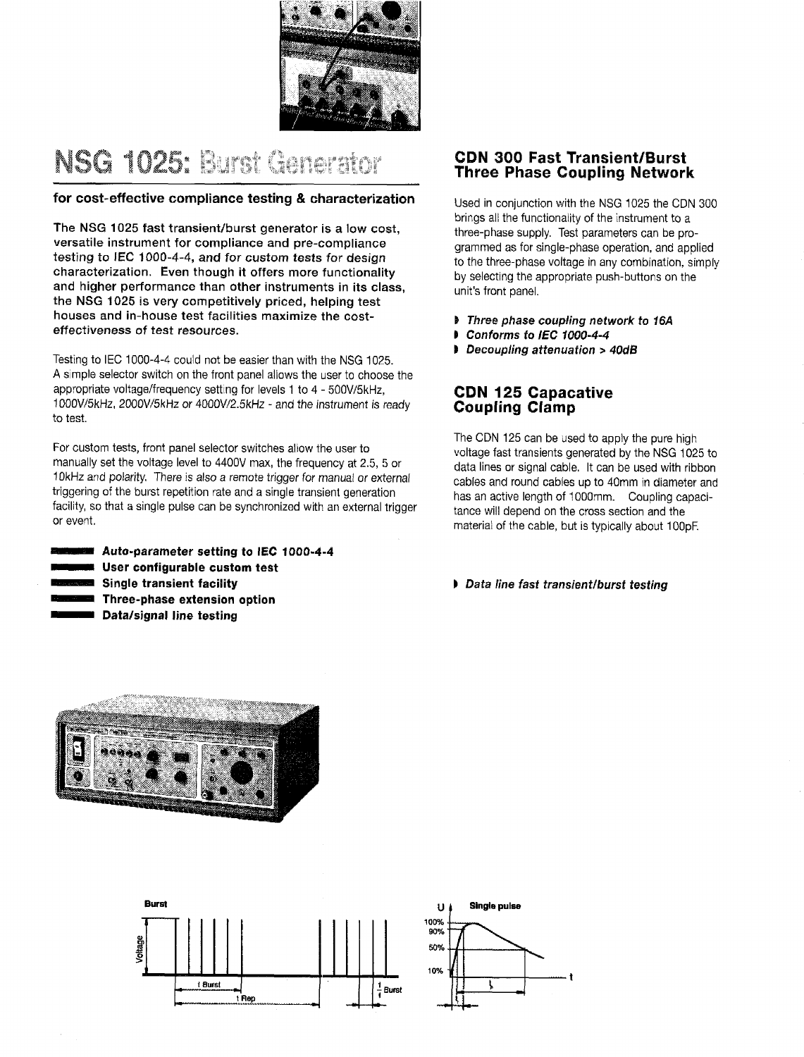

# NSG 1025: Burst Generator

### for cost-effective compliance testing & characterization

The NSG 1025 fast transient/burst generator is a low cost, versatile instrument for compliance and pre-compliance testing to IEC 1000-4-4, and for custom tests for design characterization. Even though it offers more functionality and higher performance than other instruments in its class, the NSG 1025 is very competitively priced, helping test houses and in-house test facilities maximize the costeffectiveness of test resources.

Testing to IEC 1000-4-4 could not be easier than with the NSG 1025. A simple selector switch on the front panel allows the user to choose the appropriate voltage/frequency setting for levels 1 to 4 - 500V/5kHz, 1000V/5kHz, 2000V/5kHz or 4000V/2 .5kHz - and the instrument is ready to test.

For custom tests, front panel selector switches allow the user to manually set the voltage level to 4400V max, the frequency at 2 .5, 5 or 10kHz and polarity. There is also a remote trigger for manual or external triggering of the burst repetition rate and a single transient generation facility, so that a single pulse can be synchronized with an external trigger or event.

**Auto-parameter setting to IEC 1000-4-4 ■ User configurable custom test** Single transient facility ®Three-phase extension option Data/signal line testing

## CDN 300 Fast Transient/Burst Three Phase Coupling Network

Used in conjunction with the NSG 1025 the CDN 300 brings all the functionality of the instrument to a three-phase supply. Test parameters can be programmed as for single-phase operation, and applied to the three-phase voltage in any combination, simply by selecting the appropriate push-buttons on the unit's front panel.

- <sup>1</sup> Three phase coupling network to 16A
- i Conforms to IEC 1000-4-4
- 1 Decoupling attenuation > 40dB

## CDN 125 Capacative Coupling Clamp

The CDN 125 can be used to apply the pure high voltage fast transients generated by the NSG 1025 to data lines or signal cable. It can be used with ribbon cables and round cables up to 40mm in diameter and has an active length of 1000mm. Coupling capacitance will depend on the cross section and the material of the cable, but is typically about 100pF

### 1 Data line fast transient/burst testing